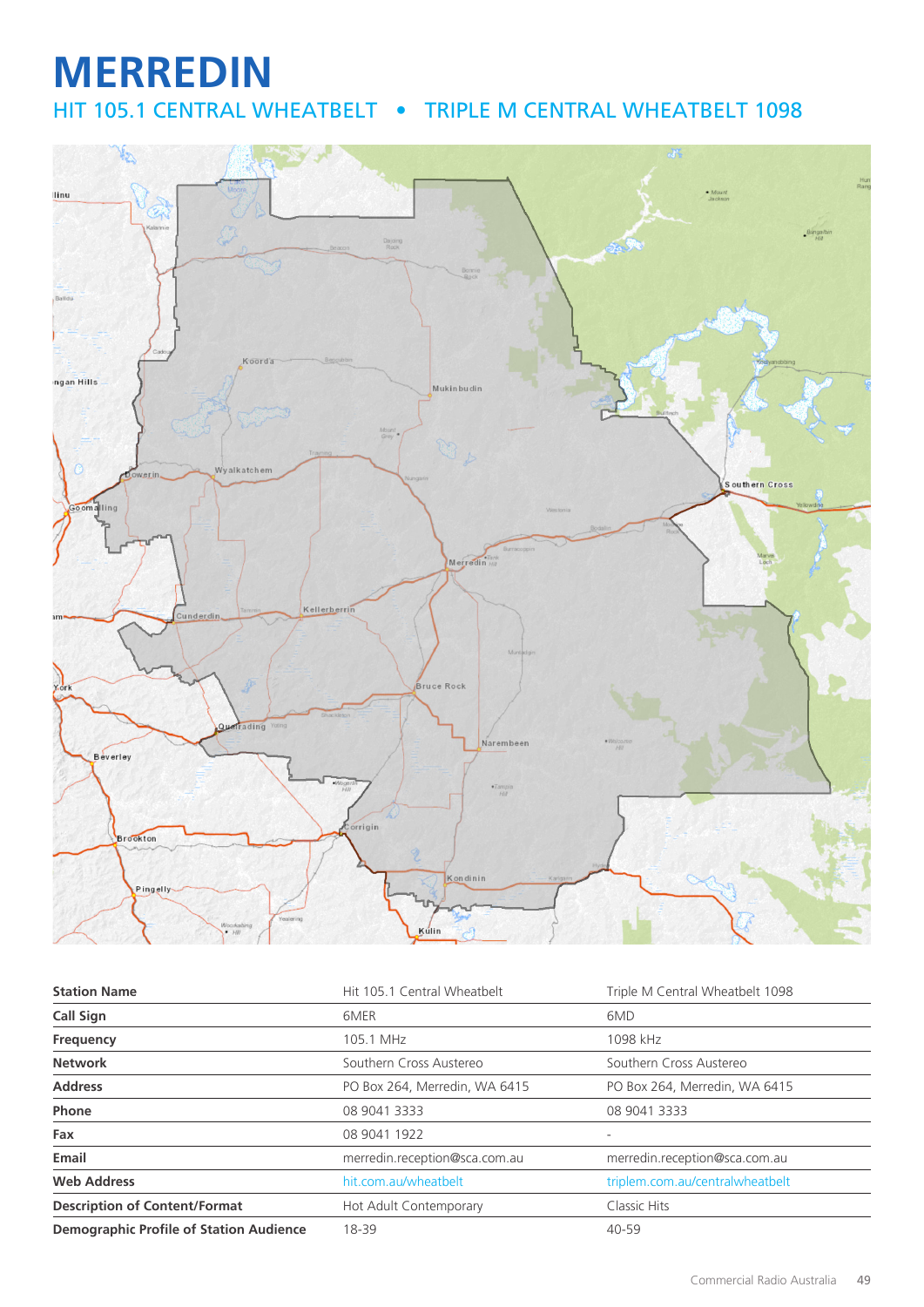## **MERREDIN** HIT 105.1 CENTRAL WHEATBELT • TRIPLE M CENTRAL WHEATBELT 1098



| <b>Station Name</b>                            | Hit 105.1 Central Wheatbelt   | Triple M Central Wheatbelt 1098 |
|------------------------------------------------|-------------------------------|---------------------------------|
| <b>Call Sign</b>                               | 6MER                          | 6MD                             |
| Frequency                                      | 105.1 MHz                     | 1098 kHz                        |
| <b>Network</b>                                 | Southern Cross Austereo       | Southern Cross Austereo         |
| <b>Address</b>                                 | PO Box 264, Merredin, WA 6415 | PO Box 264, Merredin, WA 6415   |
| Phone                                          | 08 9041 3333                  | 08 9041 3333                    |
| Fax                                            | 08 9041 1922                  |                                 |
| Email                                          | merredin.reception@sca.com.au | merredin.reception@sca.com.au   |
| <b>Web Address</b>                             | hit.com.au/wheatbelt          | triplem.com.au/centralwheatbelt |
| <b>Description of Content/Format</b>           | Hot Adult Contemporary        | Classic Hits                    |
| <b>Demographic Profile of Station Audience</b> | 18-39                         | 40-59                           |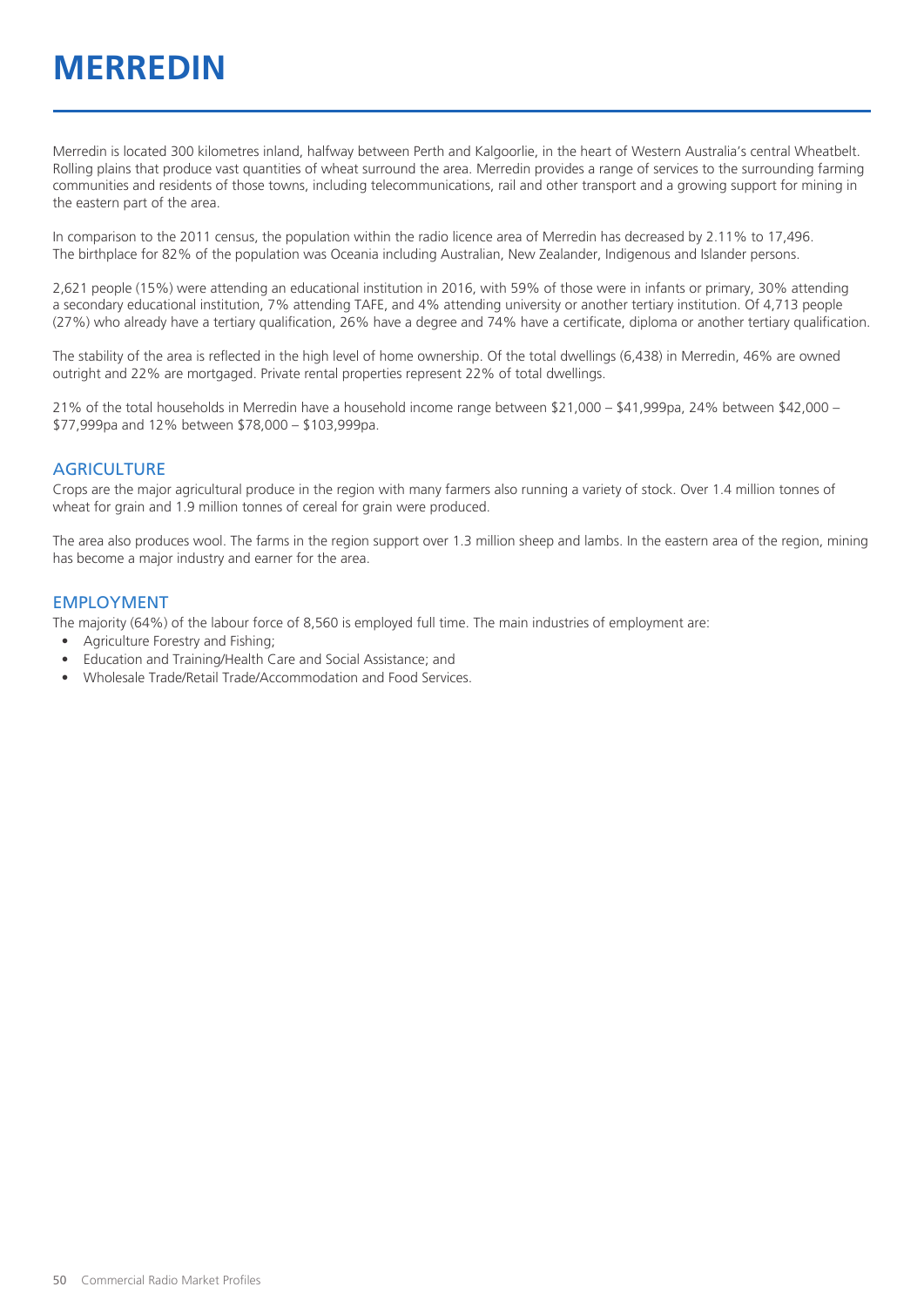Merredin is located 300 kilometres inland, halfway between Perth and Kalgoorlie, in the heart of Western Australia's central Wheatbelt. Rolling plains that produce vast quantities of wheat surround the area. Merredin provides a range of services to the surrounding farming communities and residents of those towns, including telecommunications, rail and other transport and a growing support for mining in the eastern part of the area.

In comparison to the 2011 census, the population within the radio licence area of Merredin has decreased by 2.11% to 17,496. The birthplace for 82% of the population was Oceania including Australian, New Zealander, Indigenous and Islander persons.

2,621 people (15%) were attending an educational institution in 2016, with 59% of those were in infants or primary, 30% attending a secondary educational institution, 7% attending TAFE, and 4% attending university or another tertiary institution. Of 4,713 people (27%) who already have a tertiary qualification, 26% have a degree and 74% have a certificate, diploma or another tertiary qualification.

The stability of the area is reflected in the high level of home ownership. Of the total dwellings (6,438) in Merredin, 46% are owned outright and 22% are mortgaged. Private rental properties represent 22% of total dwellings.

21% of the total households in Merredin have a household income range between \$21,000 – \$41,999pa, 24% between \$42,000 – \$77,999pa and 12% between \$78,000 – \$103,999pa.

#### **AGRICULTURE**

Crops are the major agricultural produce in the region with many farmers also running a variety of stock. Over 1.4 million tonnes of wheat for grain and 1.9 million tonnes of cereal for grain were produced.

The area also produces wool. The farms in the region support over 1.3 million sheep and lambs. In the eastern area of the region, mining has become a major industry and earner for the area.

#### EMPLOYMENT

The majority (64%) of the labour force of 8,560 is employed full time. The main industries of employment are:

- Agriculture Forestry and Fishing;
- Education and Training/Health Care and Social Assistance; and
- Wholesale Trade/Retail Trade/Accommodation and Food Services.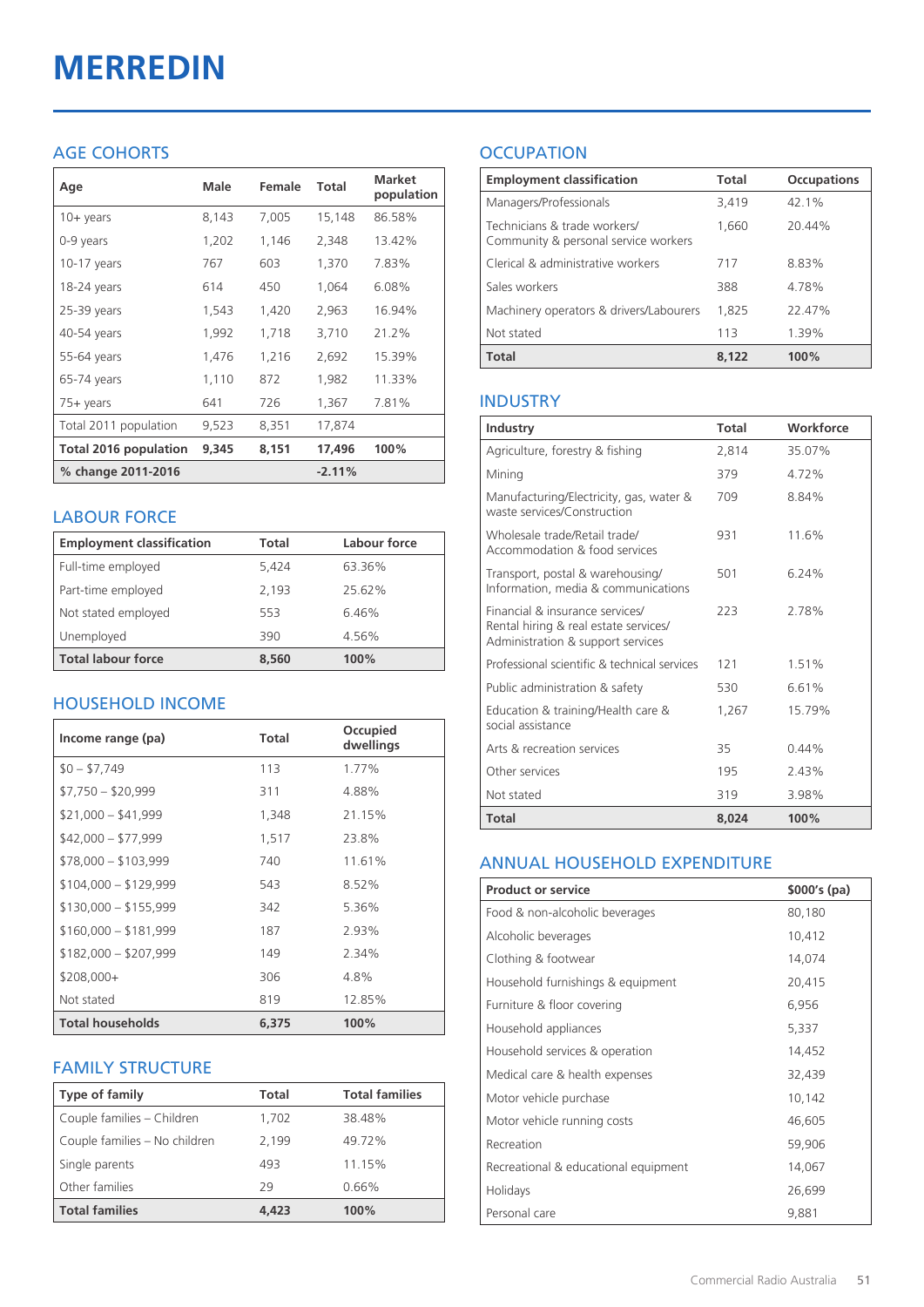# **MERREDIN**

## AGE COHORTS

| Age                   | Male  | Female | Total    | <b>Market</b><br>population |
|-----------------------|-------|--------|----------|-----------------------------|
| $10 + \gamma$ ears    | 8,143 | 7,005  | 15,148   | 86.58%                      |
| 0-9 years             | 1,202 | 1,146  | 2,348    | 13.42%                      |
| $10-17$ years         | 767   | 603    | 1,370    | 7.83%                       |
| 18-24 years           | 614   | 450    | 1,064    | 6.08%                       |
| 25-39 years           | 1,543 | 1,420  | 2,963    | 16.94%                      |
| 40-54 years           | 1,992 | 1,718  | 3,710    | 21.2%                       |
| 55-64 years           | 1,476 | 1,216  | 2,692    | 15.39%                      |
| 65-74 years           | 1,110 | 872    | 1,982    | 11.33%                      |
| 75+ years             | 641   | 726    | 1,367    | 7.81%                       |
| Total 2011 population | 9,523 | 8,351  | 17,874   |                             |
| Total 2016 population | 9,345 | 8,151  | 17,496   | 100%                        |
| % change 2011-2016    |       |        | $-2.11%$ |                             |

#### LABOUR FORCE

| <b>Employment classification</b> | Total | Labour force |
|----------------------------------|-------|--------------|
| Full-time employed               | 5.424 | 63.36%       |
| Part-time employed               | 2,193 | 25.62%       |
| Not stated employed              | 553   | 6.46%        |
| Unemployed                       | 390   | 4.56%        |
| <b>Total labour force</b>        | 8.560 | 100%         |

### HOUSEHOLD INCOME

| Income range (pa)       | <b>Total</b> | Occupied<br>dwellings |
|-------------------------|--------------|-----------------------|
| $$0 - $7,749$           | 113          | 1.77%                 |
| $$7,750 - $20,999$      | 311          | 4.88%                 |
| $$21,000 - $41,999$     | 1,348        | 21.15%                |
| $$42,000 - $77,999$     | 1,517        | 23.8%                 |
| $$78,000 - $103,999$    | 740          | 11.61%                |
| $$104,000 - $129,999$   | 543          | 8.52%                 |
| $$130,000 - $155,999$   | 342          | 5.36%                 |
| $$160,000 - $181,999$   | 187          | 2.93%                 |
| $$182,000 - $207,999$   | 149          | 2.34%                 |
| $$208,000+$             | 306          | 4.8%                  |
| Not stated              | 819          | 12.85%                |
| <b>Total households</b> | 6,375        | 100%                  |

#### FAMILY STRUCTURE

| <b>Type of family</b>         | Total | <b>Total families</b> |
|-------------------------------|-------|-----------------------|
| Couple families - Children    | 1,702 | 38.48%                |
| Couple families - No children | 2,199 | 49.72%                |
| Single parents                | 493   | 11.15%                |
| Other families                | 79    | 0.66%                 |
| <b>Total families</b>         | 4,423 | 100%                  |

## **OCCUPATION**

| <b>Employment classification</b>                                     | Total | <b>Occupations</b> |
|----------------------------------------------------------------------|-------|--------------------|
| Managers/Professionals                                               | 3,419 | 42.1%              |
| Technicians & trade workers/<br>Community & personal service workers | 1,660 | 20.44%             |
| Clerical & administrative workers                                    | 717   | 8.83%              |
| Sales workers                                                        | 388   | 4.78%              |
| Machinery operators & drivers/Labourers                              | 1,825 | 22.47%             |
| Not stated                                                           | 113   | 1.39%              |
| <b>Total</b>                                                         | 8.122 | 100%               |

#### INDUSTRY

| Industry                                                                                                      | Total | Workforce |
|---------------------------------------------------------------------------------------------------------------|-------|-----------|
| Agriculture, forestry & fishing                                                                               | 2,814 | 35.07%    |
| Mining                                                                                                        | 379   | 4.72%     |
| Manufacturing/Electricity, gas, water &<br>waste services/Construction                                        | 709   | 8.84%     |
| Wholesale trade/Retail trade/<br>Accommodation & food services                                                | 931   | 11.6%     |
| Transport, postal & warehousing/<br>Information, media & communications                                       | 501   | 6 24%     |
| Financial & insurance services/<br>Rental hiring & real estate services/<br>Administration & support services | 223   | 2.78%     |
| Professional scientific & technical services                                                                  | 121   | 1.51%     |
| Public administration & safety                                                                                | 530   | 661%      |
| Education & training/Health care &<br>social assistance                                                       | 1,267 | 15.79%    |
| Arts & recreation services                                                                                    | 35    | 0.44%     |
| Other services                                                                                                | 195   | 2.43%     |
| Not stated                                                                                                    | 319   | 3.98%     |
| <b>Total</b>                                                                                                  | 8.024 | 100%      |

#### ANNUAL HOUSEHOLD EXPENDITURE

| <b>Product or service</b>            | $$000's$ (pa) |
|--------------------------------------|---------------|
| Food & non-alcoholic beverages       | 80,180        |
| Alcoholic beverages                  | 10,412        |
| Clothing & footwear                  | 14,074        |
| Household furnishings & equipment    | 20,415        |
| Furniture & floor covering           | 6,956         |
| Household appliances                 | 5,337         |
| Household services & operation       | 14,452        |
| Medical care & health expenses       | 32,439        |
| Motor vehicle purchase               | 10,142        |
| Motor vehicle running costs          | 46,605        |
| Recreation                           | 59,906        |
| Recreational & educational equipment | 14,067        |
| Holidays                             | 26,699        |
| Personal care                        | 9,881         |